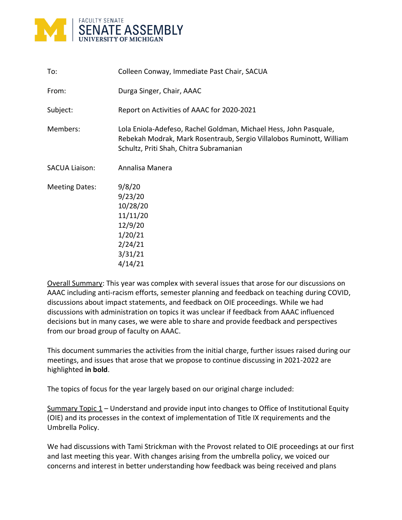

| To:                   | Colleen Conway, Immediate Past Chair, SACUA                                                                                                                                          |
|-----------------------|--------------------------------------------------------------------------------------------------------------------------------------------------------------------------------------|
| From:                 | Durga Singer, Chair, AAAC                                                                                                                                                            |
| Subject:              | Report on Activities of AAAC for 2020-2021                                                                                                                                           |
| Members:              | Lola Eniola-Adefeso, Rachel Goldman, Michael Hess, John Pasquale,<br>Rebekah Modrak, Mark Rosentraub, Sergio Villalobos Ruminott, William<br>Schultz, Priti Shah, Chitra Subramanian |
| <b>SACUA Liaison:</b> | Annalisa Manera                                                                                                                                                                      |
| <b>Meeting Dates:</b> | 9/8/20<br>9/23/20<br>10/28/20<br>11/11/20<br>12/9/20<br>1/20/21<br>2/24/21<br>3/31/21<br>4/14/21                                                                                     |

Overall Summary: This year was complex with several issues that arose for our discussions on AAAC including anti-racism efforts, semester planning and feedback on teaching during COVID, discussions about impact statements, and feedback on OIE proceedings. While we had discussions with administration on topics it was unclear if feedback from AAAC influenced decisions but in many cases, we were able to share and provide feedback and perspectives from our broad group of faculty on AAAC.

This document summaries the activities from the initial charge, further issues raised during our meetings, and issues that arose that we propose to continue discussing in 2021-2022 are highlighted **in bold**.

The topics of focus for the year largely based on our original charge included:

Summary Topic 1 – Understand and provide input into changes to Office of Institutional Equity (OIE) and its processes in the context of implementation of Title IX requirements and the Umbrella Policy.

We had discussions with Tami Strickman with the Provost related to OIE proceedings at our first and last meeting this year. With changes arising from the umbrella policy, we voiced our concerns and interest in better understanding how feedback was being received and plans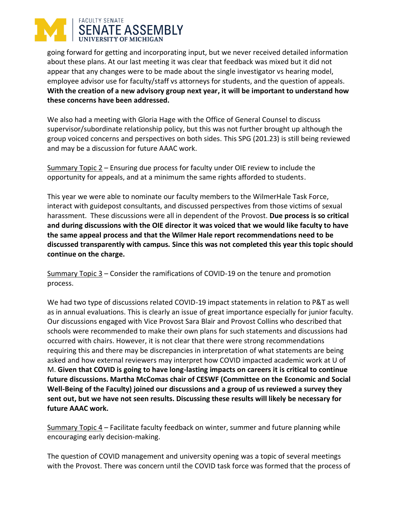## **FACULTY SENATE SENATE ASSEMBLY VERSITY OF MICHIGAN**

going forward for getting and incorporating input, but we never received detailed information about these plans. At our last meeting it was clear that feedback was mixed but it did not appear that any changes were to be made about the single investigator vs hearing model, employee advisor use for faculty/staff vs attorneys for students, and the question of appeals. **With the creation of a new advisory group next year, it will be important to understand how these concerns have been addressed.**

We also had a meeting with Gloria Hage with the Office of General Counsel to discuss supervisor/subordinate relationship policy, but this was not further brought up although the group voiced concerns and perspectives on both sides. This SPG (201.23) is still being reviewed and may be a discussion for future AAAC work.

Summary Topic 2 – Ensuring due process for faculty under OIE review to include the opportunity for appeals, and at a minimum the same rights afforded to students.

This year we were able to nominate our faculty members to the WilmerHale Task Force, interact with guidepost consultants, and discussed perspectives from those victims of sexual harassment. These discussions were all in dependent of the Provost. **Due process is so critical and during discussions with the OIE director it was voiced that we would like faculty to have the same appeal process and that the Wilmer Hale report recommendations need to be discussed transparently with campus. Since this was not completed this year this topic should continue on the charge.**

Summary Topic 3 – Consider the ramifications of COVID-19 on the tenure and promotion process.

We had two type of discussions related COVID-19 impact statements in relation to P&T as well as in annual evaluations. This is clearly an issue of great importance especially for junior faculty. Our discussions engaged with Vice Provost Sara Blair and Provost Collins who described that schools were recommended to make their own plans for such statements and discussions had occurred with chairs. However, it is not clear that there were strong recommendations requiring this and there may be discrepancies in interpretation of what statements are being asked and how external reviewers may interpret how COVID impacted academic work at U of M. **Given that COVID is going to have long-lasting impacts on careers it is critical to continue future discussions. Martha McComas chair of CESWF (Committee on the Economic and Social Well-Being of the Faculty) joined our discussions and a group of us reviewed a survey they sent out, but we have not seen results. Discussing these results will likely be necessary for future AAAC work.**

Summary Topic 4 – Facilitate faculty feedback on winter, summer and future planning while encouraging early decision-making.

The question of COVID management and university opening was a topic of several meetings with the Provost. There was concern until the COVID task force was formed that the process of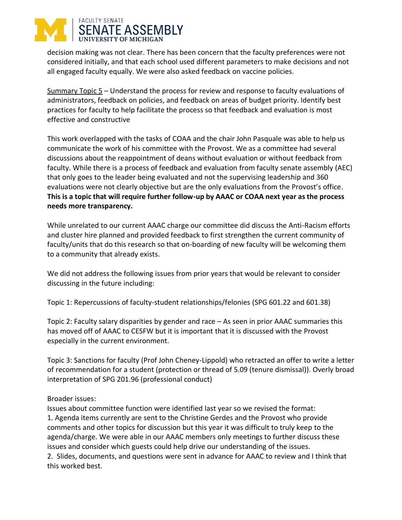## **FACULTY SENATE SENATE ASSEMBLY**

decision making was not clear. There has been concern that the faculty preferences were not considered initially, and that each school used different parameters to make decisions and not all engaged faculty equally. We were also asked feedback on vaccine policies.

Summary Topic 5 – Understand the process for review and response to faculty evaluations of administrators, feedback on policies, and feedback on areas of budget priority. Identify best practices for faculty to help facilitate the process so that feedback and evaluation is most effective and constructive

This work overlapped with the tasks of COAA and the chair John Pasquale was able to help us communicate the work of his committee with the Provost. We as a committee had several discussions about the reappointment of deans without evaluation or without feedback from faculty. While there is a process of feedback and evaluation from faculty senate assembly (AEC) that only goes to the leader being evaluated and not the supervising leadership and 360 evaluations were not clearly objective but are the only evaluations from the Provost's office. **This is a topic that will require further follow-up by AAAC or COAA next year as the process needs more transparency.**

While unrelated to our current AAAC charge our committee did discuss the Anti-Racism efforts and cluster hire planned and provided feedback to first strengthen the current community of faculty/units that do this research so that on-boarding of new faculty will be welcoming them to a community that already exists.

We did not address the following issues from prior years that would be relevant to consider discussing in the future including:

Topic 1: Repercussions of faculty-student relationships/felonies (SPG 601.22 and 601.38)

Topic 2: Faculty salary disparities by gender and race – As seen in prior AAAC summaries this has moved off of AAAC to CESFW but it is important that it is discussed with the Provost especially in the current environment.

Topic 3: Sanctions for faculty (Prof John Cheney-Lippold) who retracted an offer to write a letter of recommendation for a student (protection or thread of 5.09 (tenure dismissal)). Overly broad interpretation of SPG 201.96 (professional conduct)

## Broader issues:

Issues about committee function were identified last year so we revised the format: 1. Agenda items currently are sent to the Christine Gerdes and the Provost who provide comments and other topics for discussion but this year it was difficult to truly keep to the agenda/charge. We were able in our AAAC members only meetings to further discuss these issues and consider which guests could help drive our understanding of the issues. 2. Slides, documents, and questions were sent in advance for AAAC to review and I think that

this worked best.